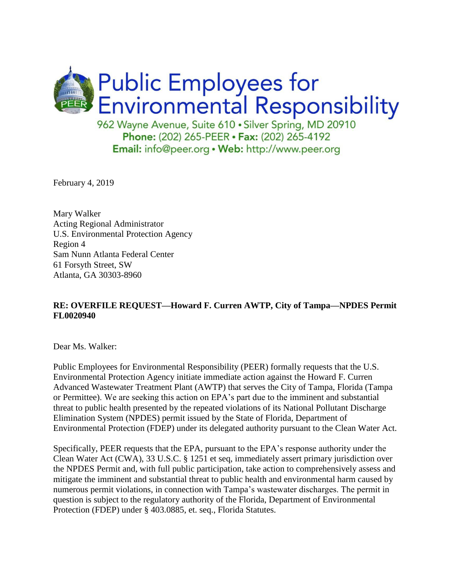

February 4, 2019

Mary Walker Acting Regional Administrator U.S. Environmental Protection Agency Region 4 Sam Nunn Atlanta Federal Center 61 Forsyth Street, SW Atlanta, GA 30303-8960

# **RE: OVERFILE REQUEST—Howard F. Curren AWTP, City of Tampa—NPDES Permit FL0020940**

Dear Ms. Walker:

Public Employees for Environmental Responsibility (PEER) formally requests that the U.S. Environmental Protection Agency initiate immediate action against the Howard F. Curren Advanced Wastewater Treatment Plant (AWTP) that serves the City of Tampa, Florida (Tampa or Permittee). We are seeking this action on EPA's part due to the imminent and substantial threat to public health presented by the repeated violations of its National Pollutant Discharge Elimination System (NPDES) permit issued by the State of Florida, Department of Environmental Protection (FDEP) under its delegated authority pursuant to the Clean Water Act.

Specifically, PEER requests that the EPA, pursuant to the EPA's response authority under the Clean Water Act (CWA), 33 U.S.C. § 1251 et seq, immediately assert primary jurisdiction over the NPDES Permit and, with full public participation, take action to comprehensively assess and mitigate the imminent and substantial threat to public health and environmental harm caused by numerous permit violations, in connection with Tampa's wastewater discharges. The permit in question is subject to the regulatory authority of the Florida, Department of Environmental Protection (FDEP) under § 403.0885, et. seq., Florida Statutes.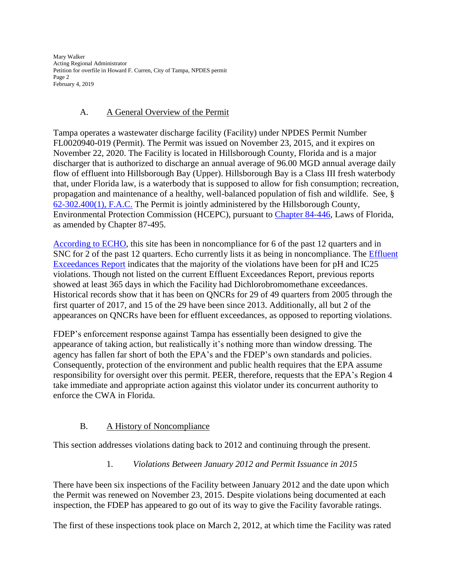Mary Walker Acting Regional Administrator Petition for overfile in Howard F. Curren, City of Tampa, NPDES permit Page 2 February 4, 2019

# A. A General Overview of the Permit

Tampa operates a wastewater discharge facility (Facility) under NPDES Permit Number FL0020940-019 (Permit). The Permit was issued on November 23, 2015, and it expires on November 22, 2020. The Facility is located in Hillsborough County, Florida and is a major discharger that is authorized to discharge an annual average of 96.00 MGD annual average daily flow of effluent into Hillsborough Bay (Upper). Hillsborough Bay is a Class III fresh waterbody that, under Florida law, is a waterbody that is supposed to allow for fish consumption; recreation, propagation and maintenance of a healthy, well-balanced population of fish and wildlife. See, § [62-302.400\(1\), F.A.C.](https://www.flrules.org/gateway/ChapterHome.asp?Chapter=62-302) The Permit is jointly administered by the Hillsborough County, Environmental Protection Commission (HCEPC), pursuant to [Chapter 84-446,](http://www.epchc.org/home/showdocument?id=454) Laws of Florida, as amended by Chapter 87-495.

[According to ECHO,](https://echo.epa.gov/detailed-facility-report?fid=110000516727) this site has been in noncompliance for 6 of the past 12 quarters and in SNC for 2 of the past 12 quarters. Echo currently lists it as being in noncompliance. The [Effluent](https://echo.epa.gov/trends/loading-tool/reports/effluent-exceedances/?permit_id=FL0020940)  [Exceedances Report](https://echo.epa.gov/trends/loading-tool/reports/effluent-exceedances/?permit_id=FL0020940) indicates that the majority of the violations have been for pH and IC25 violations. Though not listed on the current Effluent Exceedances Report, previous reports showed at least 365 days in which the Facility had Dichlorobromomethane exceedances. Historical records show that it has been on QNCRs for 29 of 49 quarters from 2005 through the first quarter of 2017, and 15 of the 29 have been since 2013. Additionally, all but 2 of the appearances on QNCRs have been for effluent exceedances, as opposed to reporting violations.

FDEP's enforcement response against Tampa has essentially been designed to give the appearance of taking action, but realistically it's nothing more than window dressing. The agency has fallen far short of both the EPA's and the FDEP's own standards and policies. Consequently, protection of the environment and public health requires that the EPA assume responsibility for oversight over this permit. PEER, therefore, requests that the EPA's Region 4 take immediate and appropriate action against this violator under its concurrent authority to enforce the CWA in Florida.

# B. A History of Noncompliance

This section addresses violations dating back to 2012 and continuing through the present.

# 1. *Violations Between January 2012 and Permit Issuance in 2015*

There have been six inspections of the Facility between January 2012 and the date upon which the Permit was renewed on November 23, 2015. Despite violations being documented at each inspection, the FDEP has appeared to go out of its way to give the Facility favorable ratings.

The first of these inspections took place on March 2, 2012, at which time the Facility was rated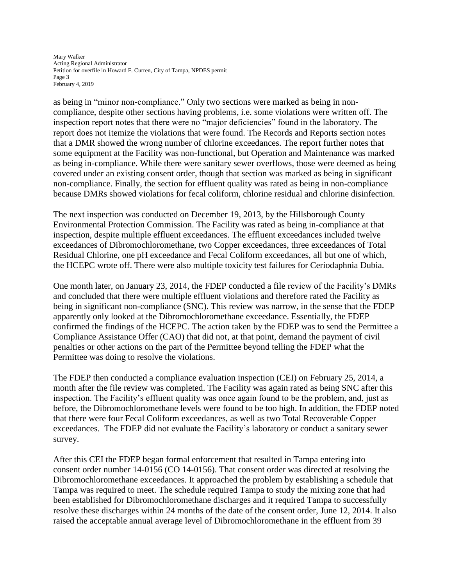Mary Walker Acting Regional Administrator Petition for overfile in Howard F. Curren, City of Tampa, NPDES permit Page 3 February 4, 2019

as being in "minor non-compliance." Only two sections were marked as being in noncompliance, despite other sections having problems, i.e. some violations were written off. The inspection report notes that there were no "major deficiencies" found in the laboratory. The report does not itemize the violations that were found. The Records and Reports section notes that a DMR showed the wrong number of chlorine exceedances. The report further notes that some equipment at the Facility was non-functional, but Operation and Maintenance was marked as being in-compliance. While there were sanitary sewer overflows, those were deemed as being covered under an existing consent order, though that section was marked as being in significant non-compliance. Finally, the section for effluent quality was rated as being in non-compliance because DMRs showed violations for fecal coliform, chlorine residual and chlorine disinfection.

The next inspection was conducted on December 19, 2013, by the Hillsborough County Environmental Protection Commission. The Facility was rated as being in-compliance at that inspection, despite multiple effluent exceedances. The effluent exceedances included twelve exceedances of Dibromochloromethane, two Copper exceedances, three exceedances of Total Residual Chlorine, one pH exceedance and Fecal Coliform exceedances, all but one of which, the HCEPC wrote off. There were also multiple toxicity test failures for Ceriodaphnia Dubia.

One month later, on January 23, 2014, the FDEP conducted a file review of the Facility's DMRs and concluded that there were multiple effluent violations and therefore rated the Facility as being in significant non-compliance (SNC). This review was narrow, in the sense that the FDEP apparently only looked at the Dibromochloromethane exceedance. Essentially, the FDEP confirmed the findings of the HCEPC. The action taken by the FDEP was to send the Permittee a Compliance Assistance Offer (CAO) that did not, at that point, demand the payment of civil penalties or other actions on the part of the Permittee beyond telling the FDEP what the Permittee was doing to resolve the violations.

The FDEP then conducted a compliance evaluation inspection (CEI) on February 25, 2014, a month after the file review was completed. The Facility was again rated as being SNC after this inspection. The Facility's effluent quality was once again found to be the problem, and, just as before, the Dibromochloromethane levels were found to be too high. In addition, the FDEP noted that there were four Fecal Coliform exceedances, as well as two Total Recoverable Copper exceedances. The FDEP did not evaluate the Facility's laboratory or conduct a sanitary sewer survey.

After this CEI the FDEP began formal enforcement that resulted in Tampa entering into consent order number 14-0156 (CO 14-0156). That consent order was directed at resolving the Dibromochloromethane exceedances. It approached the problem by establishing a schedule that Tampa was required to meet. The schedule required Tampa to study the mixing zone that had been established for Dibromochloromethane discharges and it required Tampa to successfully resolve these discharges within 24 months of the date of the consent order, June 12, 2014. It also raised the acceptable annual average level of Dibromochloromethane in the effluent from 39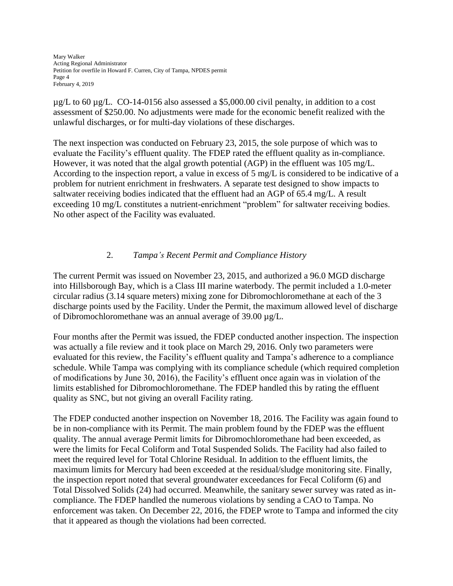Mary Walker Acting Regional Administrator Petition for overfile in Howard F. Curren, City of Tampa, NPDES permit Page 4 February 4, 2019

 $\mu$ g/L to 60  $\mu$ g/L. CO-14-0156 also assessed a \$5,000.00 civil penalty, in addition to a cost assessment of \$250.00. No adjustments were made for the economic benefit realized with the unlawful discharges, or for multi-day violations of these discharges.

The next inspection was conducted on February 23, 2015, the sole purpose of which was to evaluate the Facility's effluent quality. The FDEP rated the effluent quality as in-compliance. However, it was noted that the algal growth potential (AGP) in the effluent was 105 mg/L. According to the inspection report, a value in excess of 5 mg/L is considered to be indicative of a problem for nutrient enrichment in freshwaters. A separate test designed to show impacts to saltwater receiving bodies indicated that the effluent had an AGP of 65.4 mg/L. A result exceeding 10 mg/L constitutes a nutrient-enrichment "problem" for saltwater receiving bodies. No other aspect of the Facility was evaluated.

# 2. *Tampa's Recent Permit and Compliance History*

The current Permit was issued on November 23, 2015, and authorized a 96.0 MGD discharge into Hillsborough Bay, which is a Class III marine waterbody. The permit included a 1.0-meter circular radius (3.14 square meters) mixing zone for Dibromochloromethane at each of the 3 discharge points used by the Facility. Under the Permit, the maximum allowed level of discharge of Dibromochloromethane was an annual average of 39.00 µg/L.

Four months after the Permit was issued, the FDEP conducted another inspection. The inspection was actually a file review and it took place on March 29, 2016. Only two parameters were evaluated for this review, the Facility's effluent quality and Tampa's adherence to a compliance schedule. While Tampa was complying with its compliance schedule (which required completion of modifications by June 30, 2016), the Facility's effluent once again was in violation of the limits established for Dibromochloromethane. The FDEP handled this by rating the effluent quality as SNC, but not giving an overall Facility rating.

The FDEP conducted another inspection on November 18, 2016. The Facility was again found to be in non-compliance with its Permit. The main problem found by the FDEP was the effluent quality. The annual average Permit limits for Dibromochloromethane had been exceeded, as were the limits for Fecal Coliform and Total Suspended Solids. The Facility had also failed to meet the required level for Total Chlorine Residual. In addition to the effluent limits, the maximum limits for Mercury had been exceeded at the residual/sludge monitoring site. Finally, the inspection report noted that several groundwater exceedances for Fecal Coliform (6) and Total Dissolved Solids (24) had occurred. Meanwhile, the sanitary sewer survey was rated as incompliance. The FDEP handled the numerous violations by sending a CAO to Tampa. No enforcement was taken. On December 22, 2016, the FDEP wrote to Tampa and informed the city that it appeared as though the violations had been corrected.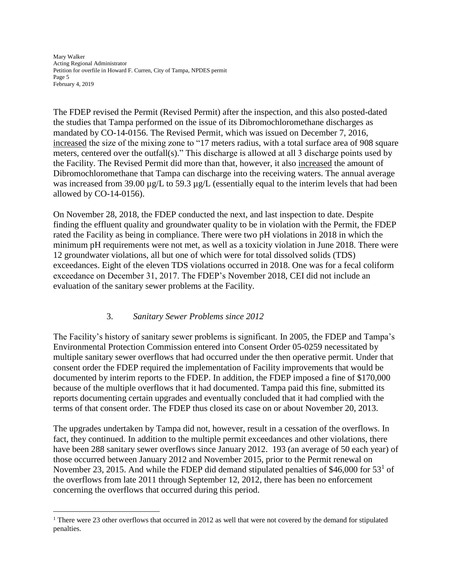Mary Walker Acting Regional Administrator Petition for overfile in Howard F. Curren, City of Tampa, NPDES permit Page 5 February 4, 2019

The FDEP revised the Permit (Revised Permit) after the inspection, and this also posted-dated the studies that Tampa performed on the issue of its Dibromochloromethane discharges as mandated by CO-14-0156. The Revised Permit, which was issued on December 7, 2016, increased the size of the mixing zone to "17 meters radius, with a total surface area of 908 square meters, centered over the outfall(s)." This discharge is allowed at all 3 discharge points used by the Facility. The Revised Permit did more than that, however, it also increased the amount of Dibromochloromethane that Tampa can discharge into the receiving waters. The annual average was increased from 39.00  $\mu$ g/L to 59.3  $\mu$ g/L (essentially equal to the interim levels that had been allowed by CO-14-0156).

On November 28, 2018, the FDEP conducted the next, and last inspection to date. Despite finding the effluent quality and groundwater quality to be in violation with the Permit, the FDEP rated the Facility as being in compliance. There were two pH violations in 2018 in which the minimum pH requirements were not met, as well as a toxicity violation in June 2018. There were 12 groundwater violations, all but one of which were for total dissolved solids (TDS) exceedances. Eight of the eleven TDS violations occurred in 2018. One was for a fecal coliform exceedance on December 31, 2017. The FDEP's November 2018, CEI did not include an evaluation of the sanitary sewer problems at the Facility.

# 3. *Sanitary Sewer Problems since 2012*

 $\overline{a}$ 

The Facility's history of sanitary sewer problems is significant. In 2005, the FDEP and Tampa's Environmental Protection Commission entered into Consent Order 05-0259 necessitated by multiple sanitary sewer overflows that had occurred under the then operative permit. Under that consent order the FDEP required the implementation of Facility improvements that would be documented by interim reports to the FDEP. In addition, the FDEP imposed a fine of \$170,000 because of the multiple overflows that it had documented. Tampa paid this fine, submitted its reports documenting certain upgrades and eventually concluded that it had complied with the terms of that consent order. The FDEP thus closed its case on or about November 20, 2013.

The upgrades undertaken by Tampa did not, however, result in a cessation of the overflows. In fact, they continued. In addition to the multiple permit exceedances and other violations, there have been 288 sanitary sewer overflows since January 2012. 193 (an average of 50 each year) of those occurred between January 2012 and November 2015, prior to the Permit renewal on November 23, 2015. And while the FDEP did demand stipulated penalties of \$46,000 for  $53<sup>1</sup>$  of the overflows from late 2011 through September 12, 2012, there has been no enforcement concerning the overflows that occurred during this period.

<sup>&</sup>lt;sup>1</sup> There were 23 other overflows that occurred in 2012 as well that were not covered by the demand for stipulated penalties.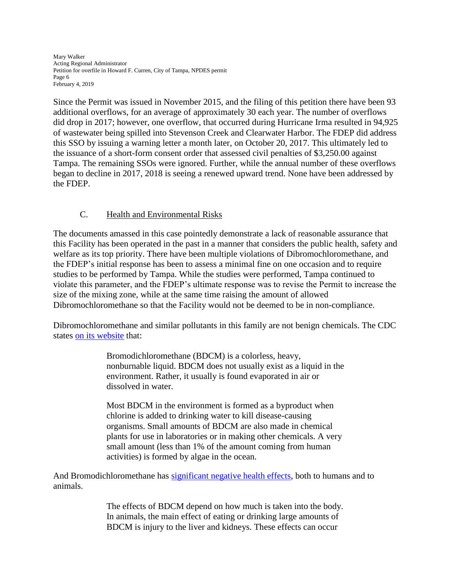Mary Walker Acting Regional Administrator Petition for overfile in Howard F. Curren, City of Tampa, NPDES permit Page 6 February 4, 2019

Since the Permit was issued in November 2015, and the filing of this petition there have been 93 additional overflows, for an average of approximately 30 each year. The number of overflows did drop in 2017; however, one overflow, that occurred during Hurricane Irma resulted in 94,925 of wastewater being spilled into Stevenson Creek and Clearwater Harbor. The FDEP did address this SSO by issuing a warning letter a month later, on October 20, 2017. This ultimately led to the issuance of a short-form consent order that assessed civil penalties of \$3,250.00 against Tampa. The remaining SSOs were ignored. Further, while the annual number of these overflows began to decline in 2017, 2018 is seeing a renewed upward trend. None have been addressed by the FDEP.

# C. Health and Environmental Risks

The documents amassed in this case pointedly demonstrate a lack of reasonable assurance that this Facility has been operated in the past in a manner that considers the public health, safety and welfare as its top priority. There have been multiple violations of Dibromochloromethane, and the FDEP's initial response has been to assess a minimal fine on one occasion and to require studies to be performed by Tampa. While the studies were performed, Tampa continued to violate this parameter, and the FDEP's ultimate response was to revise the Permit to increase the size of the mixing zone, while at the same time raising the amount of allowed Dibromochloromethane so that the Facility would not be deemed to be in non-compliance.

Dibromochloromethane and similar pollutants in this family are not benign chemicals. The CDC states [on its website](https://www.atsdr.cdc.gov/phs/phs.asp?id=706&tid=127) that:

> Bromodichloromethane (BDCM) is a colorless, heavy, nonburnable liquid. BDCM does not usually exist as a liquid in the environment. Rather, it usually is found evaporated in air or dissolved in water.

> Most BDCM in the environment is formed as a byproduct when chlorine is added to drinking water to kill disease-causing organisms. Small amounts of BDCM are also made in chemical plants for use in laboratories or in making other chemicals. A very small amount (less than 1% of the amount coming from human activities) is formed by algae in the ocean.

And Bromodichloromethane has [significant negative health effects,](https://www.atsdr.cdc.gov/phs/phs.asp?id=706&tid=127) both to humans and to animals.

> The effects of BDCM depend on how much is taken into the body. In animals, the main effect of eating or drinking large amounts of BDCM is injury to the liver and kidneys. These effects can occur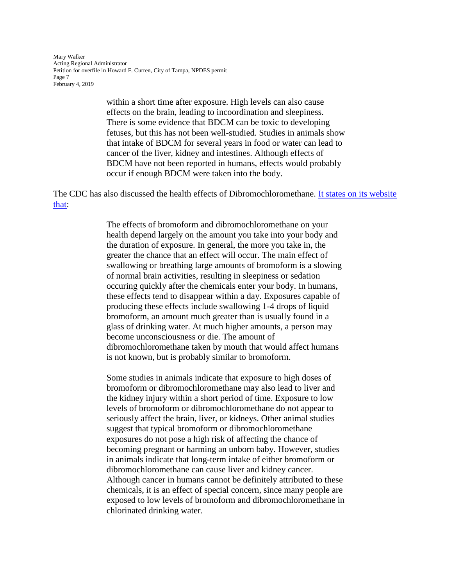Mary Walker Acting Regional Administrator Petition for overfile in Howard F. Curren, City of Tampa, NPDES permit Page 7 February 4, 2019

> within a short time after exposure. High levels can also cause effects on the brain, leading to incoordination and sleepiness. There is some evidence that BDCM can be toxic to developing fetuses, but this has not been well-studied. Studies in animals show that intake of BDCM for several years in food or water can lead to cancer of the liver, kidney and intestines. Although effects of BDCM have not been reported in humans, effects would probably occur if enough BDCM were taken into the body.

The CDC has also discussed the health effects of Dibromochloromethane. [It states on its website](https://www.atsdr.cdc.gov/phs/phs.asp?id=711&tid=128)  [that:](https://www.atsdr.cdc.gov/phs/phs.asp?id=711&tid=128)

> The effects of bromoform and dibromochloromethane on your health depend largely on the amount you take into your body and the duration of exposure. In general, the more you take in, the greater the chance that an effect will occur. The main effect of swallowing or breathing large amounts of bromoform is a slowing of normal brain activities, resulting in sleepiness or sedation occuring quickly after the chemicals enter your body. In humans, these effects tend to disappear within a day. Exposures capable of producing these effects include swallowing 1-4 drops of liquid bromoform, an amount much greater than is usually found in a glass of drinking water. At much higher amounts, a person may become unconsciousness or die. The amount of dibromochloromethane taken by mouth that would affect humans is not known, but is probably similar to bromoform.

> Some studies in animals indicate that exposure to high doses of bromoform or dibromochloromethane may also lead to liver and the kidney injury within a short period of time. Exposure to low levels of bromoform or dibromochloromethane do not appear to seriously affect the brain, liver, or kidneys. Other animal studies suggest that typical bromoform or dibromochloromethane exposures do not pose a high risk of affecting the chance of becoming pregnant or harming an unborn baby. However, studies in animals indicate that long-term intake of either bromoform or dibromochloromethane can cause liver and kidney cancer. Although cancer in humans cannot be definitely attributed to these chemicals, it is an effect of special concern, since many people are exposed to low levels of bromoform and dibromochloromethane in chlorinated drinking water.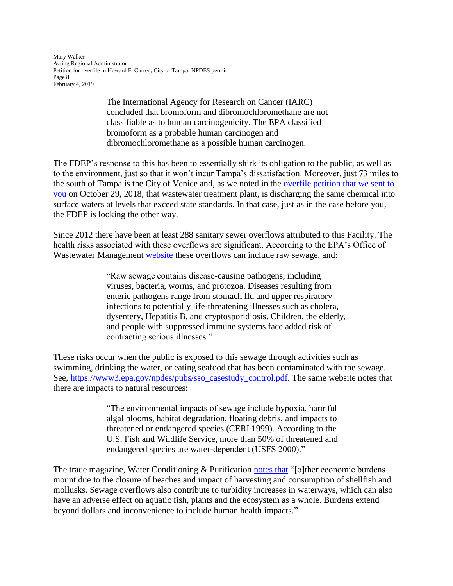Mary Walker Acting Regional Administrator Petition for overfile in Howard F. Curren, City of Tampa, NPDES permit Page 8 February 4, 2019

> The International Agency for Research on Cancer (IARC) concluded that bromoform and dibromochloromethane are not classifiable as to human carcinogenicity. The EPA classified bromoform as a probable human carcinogen and dibromochloromethane as a possible human carcinogen.

The FDEP's response to this has been to essentially shirk its obligation to the public, as well as to the environment, just so that it won't incur Tampa's dissatisfaction. Moreover, just 73 miles to the south of Tampa is the City of Venice and, as we noted in the [overfile petition that we sent to](https://www.peer.org/assets/docs/fl/10_29_18_PEER_Venice-Complaint.pdf)  [you](https://www.peer.org/assets/docs/fl/10_29_18_PEER_Venice-Complaint.pdf) on October 29, 2018, that wastewater treatment plant, is discharging the same chemical into surface waters at levels that exceed state standards. In that case, just as in the case before you, the FDEP is looking the other way.

Since 2012 there have been at least 288 sanitary sewer overflows attributed to this Facility. The health risks associated with these overflows are significant. According to the EPA's Office of Wastewater Management [website](https://www3.epa.gov/npdes/pubs/sso_casestudy_control.pdf) these overflows can include raw sewage, and:

> "Raw sewage contains disease-causing pathogens, including viruses, bacteria, worms, and protozoa. Diseases resulting from enteric pathogens range from stomach flu and upper respiratory infections to potentially life-threatening illnesses such as cholera, dysentery, Hepatitis B, and cryptosporidiosis. Children, the elderly, and people with suppressed immune systems face added risk of contracting serious illnesses."

These risks occur when the public is exposed to this sewage through activities such as swimming, drinking the water, or eating seafood that has been contaminated with the sewage. See, [https://www3.epa.gov/npdes/pubs/sso\\_casestudy\\_control.pdf.](https://www3.epa.gov/npdes/pubs/sso_casestudy_control.pdf) The same website notes that there are impacts to natural resources:

> "The environmental impacts of sewage include hypoxia, harmful algal blooms, habitat degradation, floating debris, and impacts to threatened or endangered species (CERI 1999). According to the U.S. Fish and Wildlife Service, more than 50% of threatened and endangered species are water-dependent (USFS 2000)."

The trade magazine, Water Conditioning & Purification [notes that](https://www.wcponline.com/2014/12/15/sewage-overflows-impact-us-citiespublic-health/) "[o]ther economic burdens mount due to the closure of beaches and impact of harvesting and consumption of shellfish and mollusks. Sewage overflows also contribute to turbidity increases in waterways, which can also have an adverse effect on aquatic fish, plants and the ecosystem as a whole. Burdens extend beyond dollars and inconvenience to include human health impacts."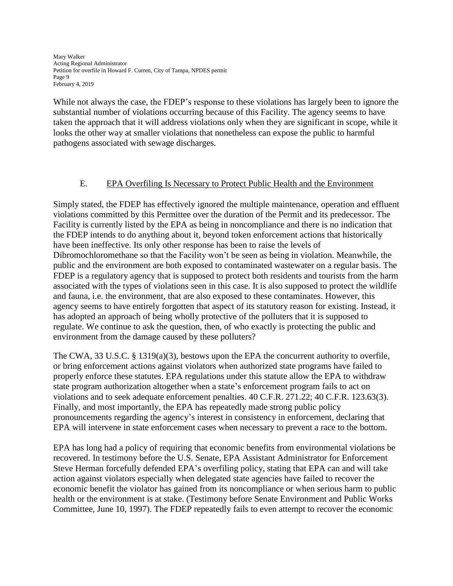Mary Walker Acting Regional Administrator Petition for overfile in Howard F. Curren, City of Tampa, NPDES permit Page 9 February 4, 2019

While not always the case, the FDEP's response to these violations has largely been to ignore the substantial number of violations occurring because of this Facility. The agency seems to have taken the approach that it will address violations only when they are significant in scope, while it looks the other way at smaller violations that nonetheless can expose the public to harmful pathogens associated with sewage discharges.

# E. EPA Overfiling Is Necessary to Protect Public Health and the Environment

Simply stated, the FDEP has effectively ignored the multiple maintenance, operation and effluent violations committed by this Permittee over the duration of the Permit and its predecessor. The Facility is currently listed by the EPA as being in noncompliance and there is no indication that the FDEP intends to do anything about it, beyond token enforcement actions that historically have been ineffective. Its only other response has been to raise the levels of Dibromochloromethane so that the Facility won't be seen as being in violation. Meanwhile, the public and the environment are both exposed to contaminated wastewater on a regular basis. The FDEP is a regulatory agency that is supposed to protect both residents and tourists from the harm associated with the types of violations seen in this case. It is also supposed to protect the wildlife and fauna, i.e. the environment, that are also exposed to these contaminates. However, this agency seems to have entirely forgotten that aspect of its statutory reason for existing. Instead, it has adopted an approach of being wholly protective of the polluters that it is supposed to regulate. We continue to ask the question, then, of who exactly is protecting the public and environment from the damage caused by these polluters?

The CWA, 33 U.S.C. § 1319(a)(3), bestows upon the EPA the concurrent authority to overfile, or bring enforcement actions against violators when authorized state programs have failed to properly enforce these statutes. EPA regulations under this statute allow the EPA to withdraw state program authorization altogether when a state's enforcement program fails to act on violations and to seek adequate enforcement penalties. 40 C.F.R. 271.22; 40 C.F.R. 123.63(3). Finally, and most importantly, the EPA has repeatedly made strong public policy pronouncements regarding the agency's interest in consistency in enforcement, declaring that EPA will intervene in state enforcement cases when necessary to prevent a race to the bottom.

EPA has long had a policy of requiring that economic benefits from environmental violations be recovered. In testimony before the U.S. Senate, EPA Assistant Administrator for Enforcement Steve Herman forcefully defended EPA's overfiling policy, stating that EPA can and will take action against violators especially when delegated state agencies have failed to recover the economic benefit the violator has gained from its noncompliance or when serious harm to public health or the environment is at stake. (Testimony before Senate Environment and Public Works Committee, June 10, 1997). The FDEP repeatedly fails to even attempt to recover the economic